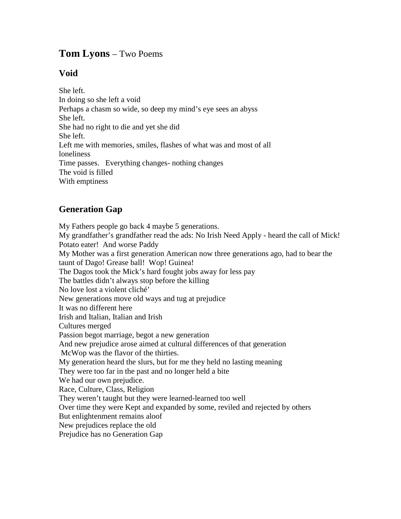## **Tom Lyons** – Two Poems

## **Void**

She left. In doing so she left a void Perhaps a chasm so wide, so deep my mind's eye sees an abyss She left. She had no right to die and yet she did She left. Left me with memories, smiles, flashes of what was and most of all loneliness Time passes. Everything changes- nothing changes The void is filled With emptiness

## **Generation Gap**

My Fathers people go back 4 maybe 5 generations. My grandfather's grandfather read the ads: No Irish Need Apply - heard the call of Mick! Potato eater! And worse Paddy My Mother was a first generation American now three generations ago, had to bear the taunt of Dago! Grease ball! Wop! Guinea! The Dagos took the Mick's hard fought jobs away for less pay The battles didn't always stop before the killing No love lost a violent cliché' New generations move old ways and tug at prejudice It was no different here Irish and Italian, Italian and Irish Cultures merged Passion begot marriage, begot a new generation And new prejudice arose aimed at cultural differences of that generation McWop was the flavor of the thirties. My generation heard the slurs, but for me they held no lasting meaning They were too far in the past and no longer held a bite We had our own prejudice. Race, Culture, Class, Religion They weren't taught but they were learned-learned too well Over time they were Kept and expanded by some, reviled and rejected by others But enlightenment remains aloof New prejudices replace the old Prejudice has no Generation Gap